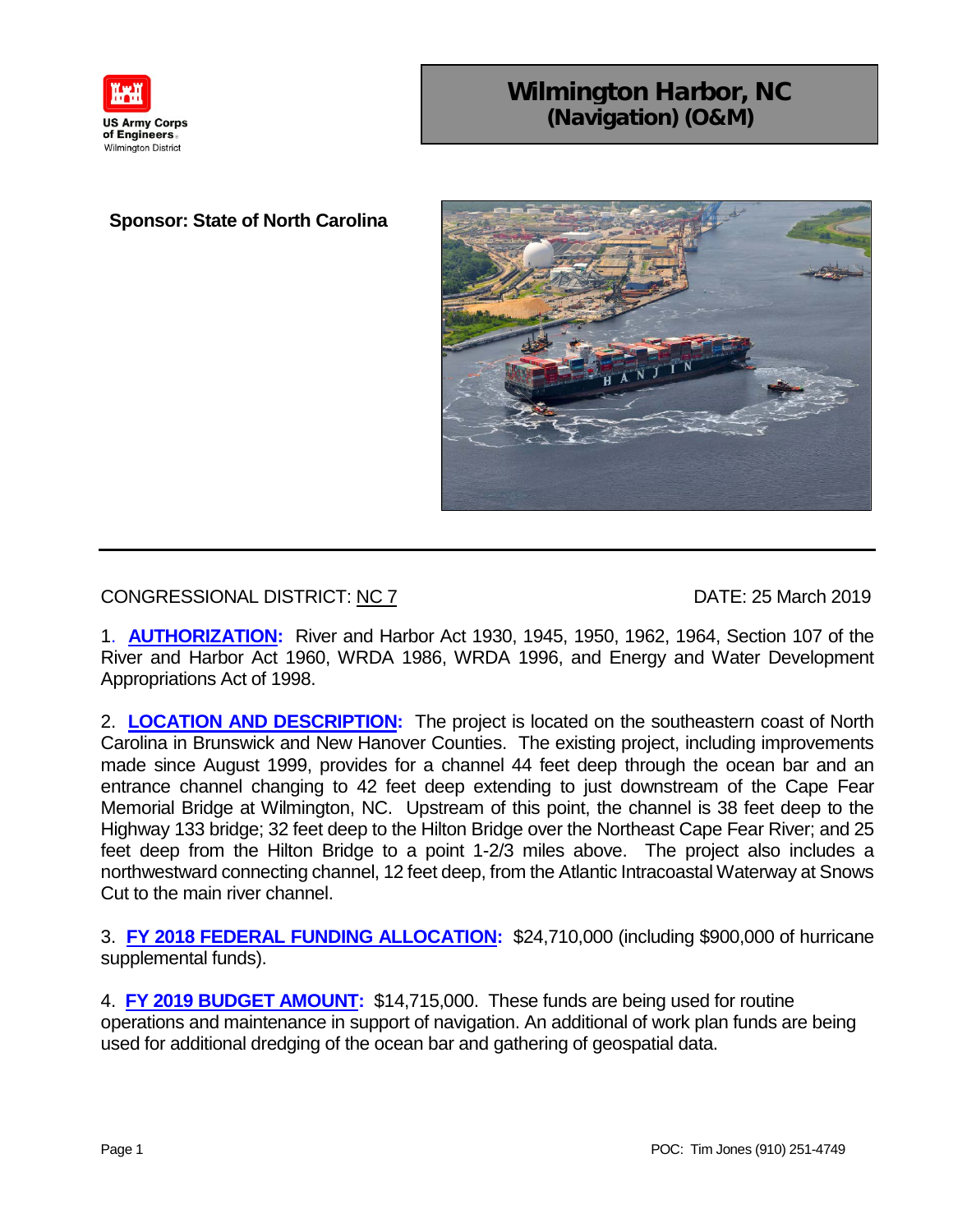

## Wilmington Harbor, NC (Navigation) (O&M)

## **Sponsor: State of North Carolina**



CONGRESSIONAL DISTRICT: NC 7 DATE: 25 March 2019

1. **AUTHORIZATION:** River and Harbor Act 1930, 1945, 1950, 1962, 1964, Section 107 of the River and Harbor Act 1960, WRDA 1986, WRDA 1996, and Energy and Water Development Appropriations Act of 1998.

2. **LOCATION AND DESCRIPTION:** The project is located on the southeastern coast of North Carolina in Brunswick and New Hanover Counties. The existing project, including improvements made since August 1999, provides for a channel 44 feet deep through the ocean bar and an entrance channel changing to 42 feet deep extending to just downstream of the Cape Fear Memorial Bridge at Wilmington, NC. Upstream of this point, the channel is 38 feet deep to the Highway 133 bridge; 32 feet deep to the Hilton Bridge over the Northeast Cape Fear River; and 25 feet deep from the Hilton Bridge to a point 1-2/3 miles above. The project also includes a northwestward connecting channel, 12 feet deep, from the Atlantic Intracoastal Waterway at Snows Cut to the main river channel.

3. **FY 2018 FEDERAL FUNDING ALLOCATION:** \$24,710,000 (including \$900,000 of hurricane supplemental funds).

4. **FY 2019 BUDGET AMOUNT:** \$14,715,000. These funds are being used for routine operations and maintenance in support of navigation. An additional of work plan funds are being used for additional dredging of the ocean bar and gathering of geospatial data.